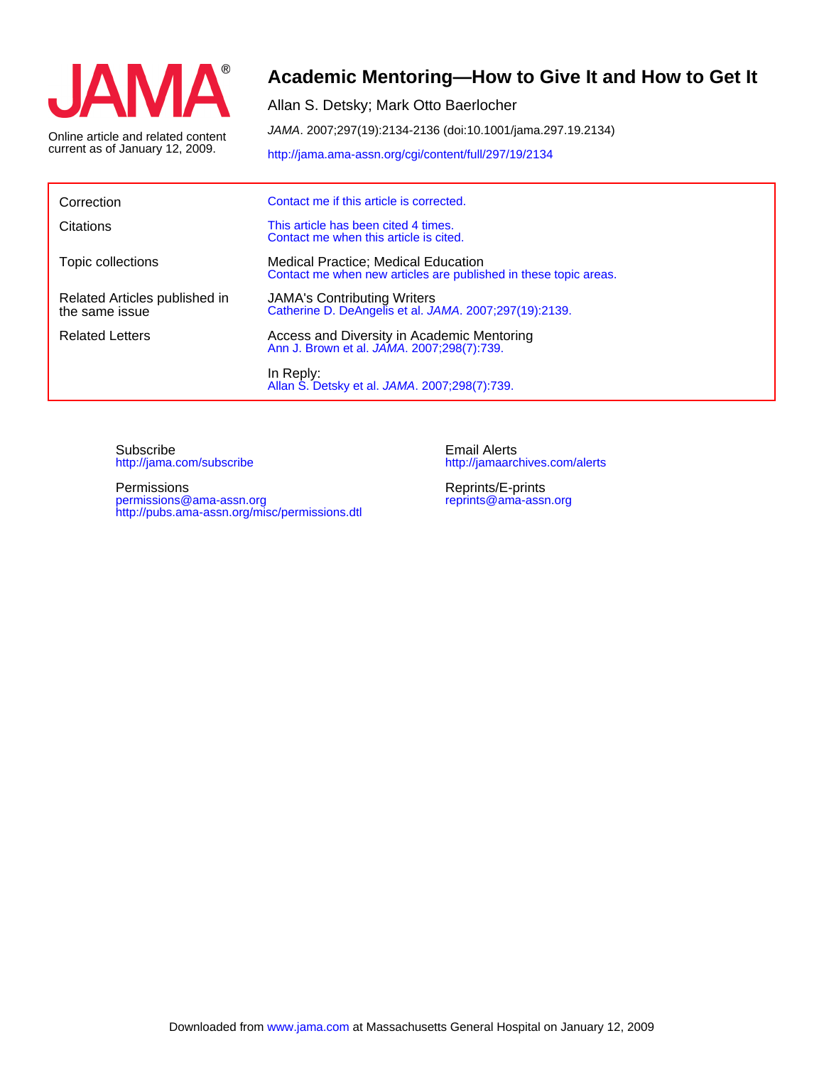

current as of January 12, 2009. Online article and related content

# **Academic Mentoring—How to Give It and How to Get It**

Allan S. Detsky; Mark Otto Baerlocher

JAMA. 2007;297(19):2134-2136 (doi:10.1001/jama.297.19.2134)

<http://jama.ama-assn.org/cgi/content/full/297/19/2134>

| Correction                                      | Contact me if this article is corrected.                                                                       |
|-------------------------------------------------|----------------------------------------------------------------------------------------------------------------|
| Citations                                       | This article has been cited 4 times.<br>Contact me when this article is cited.                                 |
| Topic collections                               | <b>Medical Practice; Medical Education</b><br>Contact me when new articles are published in these topic areas. |
| Related Articles published in<br>the same issue | <b>JAMA's Contributing Writers</b><br>Catherine D. DeAngelis et al. JAMA. 2007;297(19):2139.                   |
| <b>Related Letters</b>                          | Access and Diversity in Academic Mentoring<br>Ann J. Brown et al. JAMA. 2007;298(7):739.                       |
|                                                 | In Reply:<br>Allan S. Detsky et al. JAMA. 2007;298(7):739.                                                     |

<http://jama.com/subscribe> Subscribe

<http://pubs.ama-assn.org/misc/permissions.dtl> permissions@ama-assn.org Permissions

<http://jamaarchives.com/alerts> Email Alerts

[reprints@ama-assn.org](mailto:reprints@ama-assn.org) Reprints/E-prints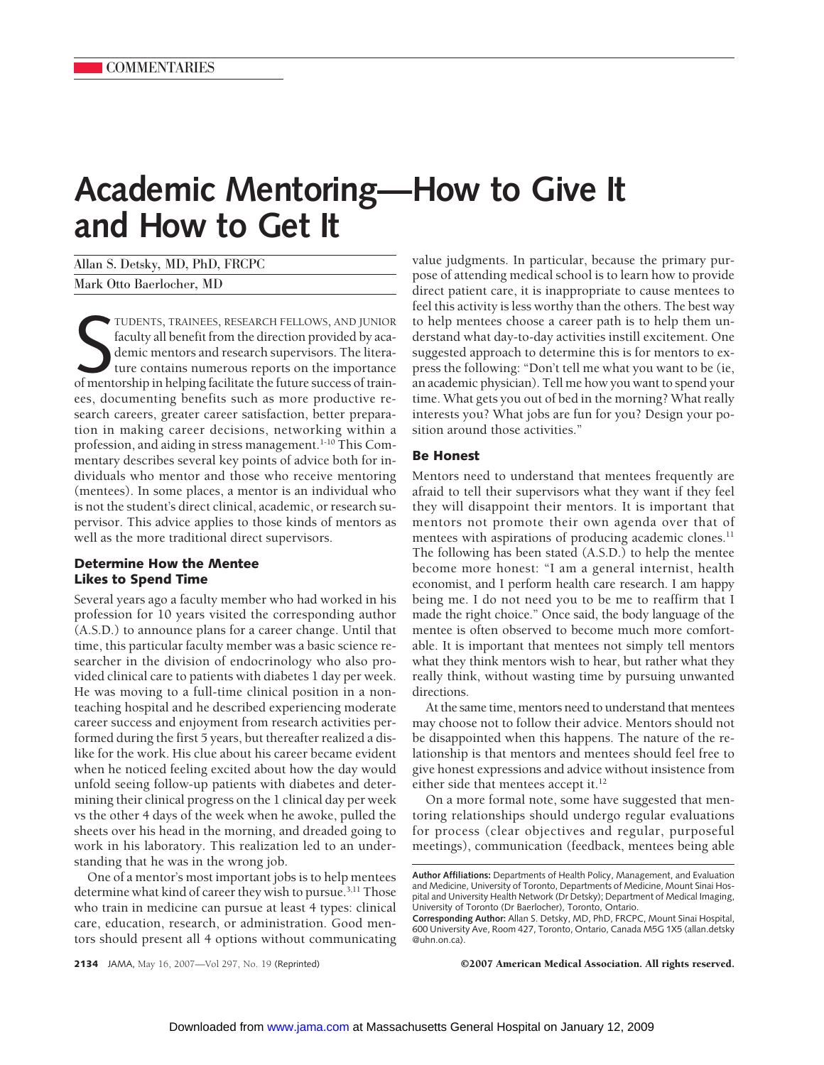# **Academic Mentoring—How to Give It and How to Get It**

Allan S. Detsky, MD, PhD, FRCPC Mark Otto Baerlocher, MD

TUDENTS, TRAINEES, RESEARCH FELLOWS, AND JUNIOR faculty all benefit from the direction provided by academic mentors and research supervisors. The literature contains numerous reports on the importance of mentorship in help TUDENTS, TRAINEES, RESEARCH FELLOWS, AND JUNIOR faculty all benefit from the direction provided by academic mentors and research supervisors. The literature contains numerous reports on the importance ees, documenting benefits such as more productive research careers, greater career satisfaction, better preparation in making career decisions, networking within a profession, and aiding in stress management.<sup>1-10</sup> This Commentary describes several key points of advice both for individuals who mentor and those who receive mentoring (mentees). In some places, a mentor is an individual who is not the student's direct clinical, academic, or research supervisor. This advice applies to those kinds of mentors as well as the more traditional direct supervisors.

# **Determine How the Mentee Likes to Spend Time**

Several years ago a faculty member who had worked in his profession for 10 years visited the corresponding author (A.S.D.) to announce plans for a career change. Until that time, this particular faculty member was a basic science researcher in the division of endocrinology who also provided clinical care to patients with diabetes 1 day per week. He was moving to a full-time clinical position in a nonteaching hospital and he described experiencing moderate career success and enjoyment from research activities performed during the first 5 years, but thereafter realized a dislike for the work. His clue about his career became evident when he noticed feeling excited about how the day would unfold seeing follow-up patients with diabetes and determining their clinical progress on the 1 clinical day per week vs the other 4 days of the week when he awoke, pulled the sheets over his head in the morning, and dreaded going to work in his laboratory. This realization led to an understanding that he was in the wrong job.

One of a mentor's most important jobs is to help mentees determine what kind of career they wish to pursue.<sup>3,11</sup> Those who train in medicine can pursue at least 4 types: clinical care, education, research, or administration. Good mentors should present all 4 options without communicating value judgments. In particular, because the primary purpose of attending medical school is to learn how to provide direct patient care, it is inappropriate to cause mentees to feel this activity is less worthy than the others. The best way to help mentees choose a career path is to help them understand what day-to-day activities instill excitement. One suggested approach to determine this is for mentors to express the following: "Don't tell me what you want to be (ie, an academic physician). Tell me how you want to spend your time. What gets you out of bed in the morning? What really interests you? What jobs are fun for you? Design your position around those activities."

### **Be Honest**

Mentors need to understand that mentees frequently are afraid to tell their supervisors what they want if they feel they will disappoint their mentors. It is important that mentors not promote their own agenda over that of mentees with aspirations of producing academic clones.<sup>11</sup> The following has been stated (A.S.D.) to help the mentee become more honest: "I am a general internist, health economist, and I perform health care research. I am happy being me. I do not need you to be me to reaffirm that I made the right choice." Once said, the body language of the mentee is often observed to become much more comfortable. It is important that mentees not simply tell mentors what they think mentors wish to hear, but rather what they really think, without wasting time by pursuing unwanted directions.

At the same time, mentors need to understand that mentees may choose not to follow their advice. Mentors should not be disappointed when this happens. The nature of the relationship is that mentors and mentees should feel free to give honest expressions and advice without insistence from either side that mentees accept it.<sup>12</sup>

On a more formal note, some have suggested that mentoring relationships should undergo regular evaluations for process (clear objectives and regular, purposeful meetings), communication (feedback, mentees being able

**2134** JAMA, May 16, 2007—Vol 297, No. 19 (Reprinted) ©2007 American Medical Association. All rights reserved.

**Author Affiliations:** Departments of Health Policy, Management, and Evaluation and Medicine, University of Toronto, Departments of Medicine, Mount Sinai Hospital and University Health Network (Dr Detsky); Department of Medical Imaging, University of Toronto (Dr Baerlocher), Toronto, Ontario.

**Corresponding Author:** Allan S. Detsky, MD, PhD, FRCPC, Mount Sinai Hospital, 600 University Ave, Room 427, Toronto, Ontario, Canada M5G 1X5 (allan.detsky @uhn.on.ca).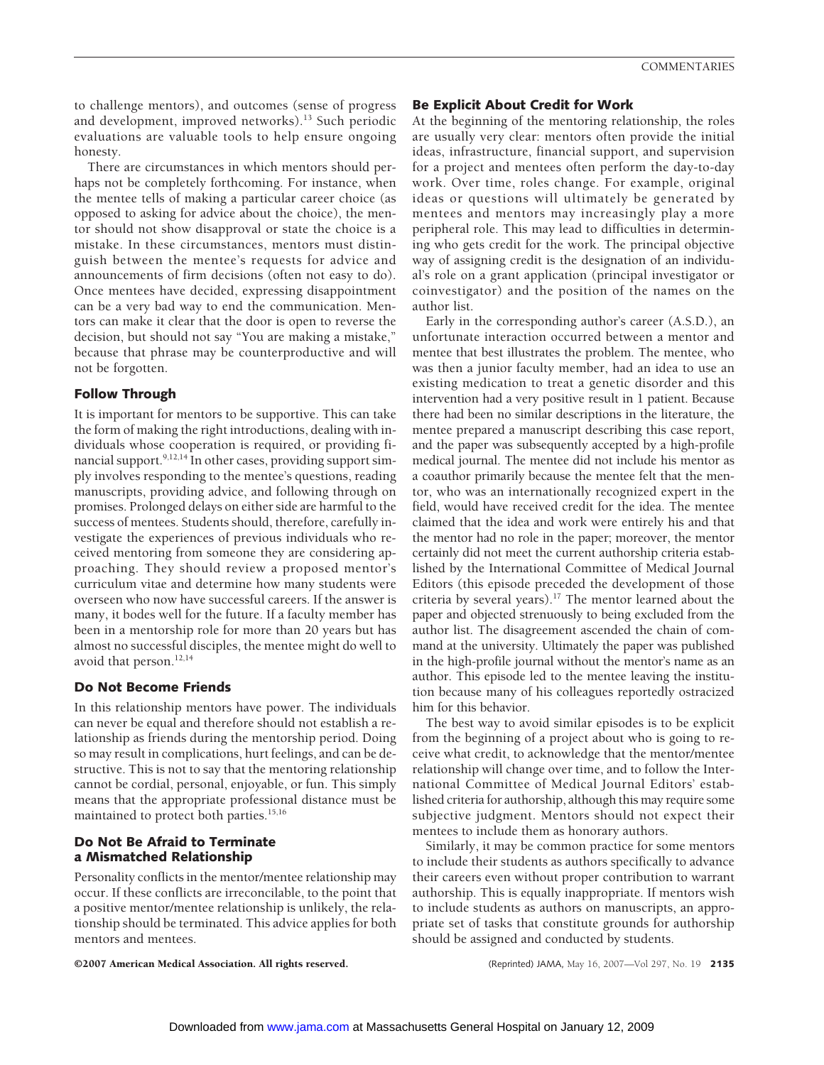to challenge mentors), and outcomes (sense of progress and development, improved networks).<sup>13</sup> Such periodic evaluations are valuable tools to help ensure ongoing honesty.

There are circumstances in which mentors should perhaps not be completely forthcoming. For instance, when the mentee tells of making a particular career choice (as opposed to asking for advice about the choice), the mentor should not show disapproval or state the choice is a mistake. In these circumstances, mentors must distinguish between the mentee's requests for advice and announcements of firm decisions (often not easy to do). Once mentees have decided, expressing disappointment can be a very bad way to end the communication. Mentors can make it clear that the door is open to reverse the decision, but should not say "You are making a mistake," because that phrase may be counterproductive and will not be forgotten.

# **Follow Through**

It is important for mentors to be supportive. This can take the form of making the right introductions, dealing with individuals whose cooperation is required, or providing financial support.  $9,12,14$  In other cases, providing support simply involves responding to the mentee's questions, reading manuscripts, providing advice, and following through on promises. Prolonged delays on either side are harmful to the success of mentees. Students should, therefore, carefully investigate the experiences of previous individuals who received mentoring from someone they are considering approaching. They should review a proposed mentor's curriculum vitae and determine how many students were overseen who now have successful careers. If the answer is many, it bodes well for the future. If a faculty member has been in a mentorship role for more than 20 years but has almost no successful disciples, the mentee might do well to avoid that person.<sup>12,14</sup>

# **Do Not Become Friends**

In this relationship mentors have power. The individuals can never be equal and therefore should not establish a relationship as friends during the mentorship period. Doing so may result in complications, hurt feelings, and can be destructive. This is not to say that the mentoring relationship cannot be cordial, personal, enjoyable, or fun. This simply means that the appropriate professional distance must be maintained to protect both parties.<sup>15,16</sup>

# **Do Not Be Afraid to Terminate a Mismatched Relationship**

Personality conflicts in the mentor/mentee relationship may occur. If these conflicts are irreconcilable, to the point that a positive mentor/mentee relationship is unlikely, the relationship should be terminated. This advice applies for both mentors and mentees.

#### **Be Explicit About Credit for Work**

At the beginning of the mentoring relationship, the roles are usually very clear: mentors often provide the initial ideas, infrastructure, financial support, and supervision for a project and mentees often perform the day-to-day work. Over time, roles change. For example, original ideas or questions will ultimately be generated by mentees and mentors may increasingly play a more peripheral role. This may lead to difficulties in determining who gets credit for the work. The principal objective way of assigning credit is the designation of an individual's role on a grant application (principal investigator or coinvestigator) and the position of the names on the author list.

Early in the corresponding author's career (A.S.D.), an unfortunate interaction occurred between a mentor and mentee that best illustrates the problem. The mentee, who was then a junior faculty member, had an idea to use an existing medication to treat a genetic disorder and this intervention had a very positive result in 1 patient. Because there had been no similar descriptions in the literature, the mentee prepared a manuscript describing this case report, and the paper was subsequently accepted by a high-profile medical journal. The mentee did not include his mentor as a coauthor primarily because the mentee felt that the mentor, who was an internationally recognized expert in the field, would have received credit for the idea. The mentee claimed that the idea and work were entirely his and that the mentor had no role in the paper; moreover, the mentor certainly did not meet the current authorship criteria established by the International Committee of Medical Journal Editors (this episode preceded the development of those criteria by several years).17 The mentor learned about the paper and objected strenuously to being excluded from the author list. The disagreement ascended the chain of command at the university. Ultimately the paper was published in the high-profile journal without the mentor's name as an author. This episode led to the mentee leaving the institution because many of his colleagues reportedly ostracized him for this behavior.

The best way to avoid similar episodes is to be explicit from the beginning of a project about who is going to receive what credit, to acknowledge that the mentor/mentee relationship will change over time, and to follow the International Committee of Medical Journal Editors' established criteria for authorship, although this may require some subjective judgment. Mentors should not expect their mentees to include them as honorary authors.

Similarly, it may be common practice for some mentors to include their students as authors specifically to advance their careers even without proper contribution to warrant authorship. This is equally inappropriate. If mentors wish to include students as authors on manuscripts, an appropriate set of tasks that constitute grounds for authorship should be assigned and conducted by students.

©2007 American Medical Association. All rights reserved. (Reprinted) JAMA, May 16, 2007—Vol 297, No. 19 **2135**